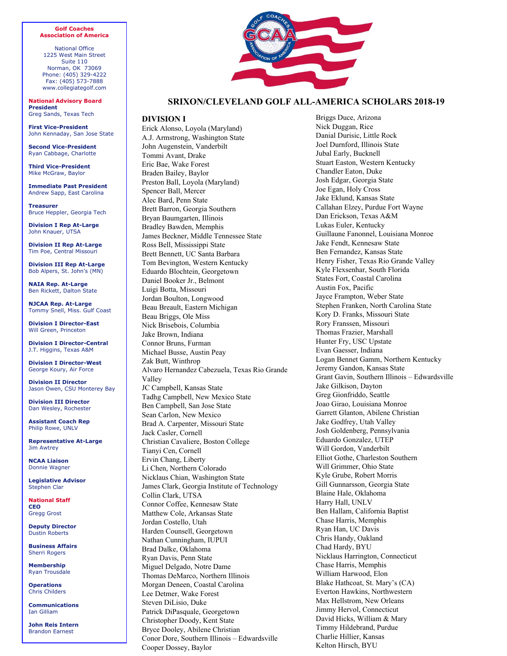#### **Golf Coaches Association of America**

National Office 1225 West Main Street Suite 110 Norman, OK 73069 Phone: (405) 329-4222 Fax: (405) 573-7888 www.collegiategolf.com

**National Advisory Board President** Greg Sands, Texas Tech

**First Vice-President** John Kennaday, San Jose State

**Second Vice-President** Ryan Cabbage, Charlotte

**Third Vice-President**  Mike McGraw, Baylor

**Immediate Past President** Andrew Sapp, East Carolina

**Treasurer** Bruce Heppler, Georgia Tech

**Division I Rep At-Large** John Knauer, UTSA

**Division II Rep At-Large** Tim Poe, Central Missouri

**Division III Rep At-Large** Bob Alpers, St. John's (MN)

**NAIA Rep. At-Large**  Ben Rickett, Dalton State

**NJCAA Rep. At-Large**  Tommy Snell, Miss. Gulf Coast

**Division I Director-East**  Will Green, Princeton

**Division I Director-Central**  J.T. Higgins, Texas A&M

**Division I Director-West** George Koury, Air Force

**Division II Director** Jason Owen, CSU Monterey Bay

**Division III Director** Dan Wesley, Rochester

**Assistant Coach Rep**  Philip Rowe, UNLV

**Representative At-Large** Jim Awtrey

**NCAA Liaison**  Donnie Wagner

**Legislative Advisor**  Stephen Clar

**National Staff CEO**  Gregg Grost

**Deputy Director**  Dustin Roberts

**Business Affairs**  Sherri Rogers

**Membership**  Ryan Trousdale

**Operations**  Chris Childers

**Communications** Ian Gilliam

**John Reis Intern**  Brandon Earnest



# **SRIXON/CLEVELAND GOLF ALL-AMERICA SCHOLARS 2018-19**

# **DIVISION I**

Erick Alonso, Loyola (Maryland) A.J. Armstrong, Washington State John Augenstein, Vanderbilt Tommi Avant, Drake Eric Bae, Wake Forest Braden Bailey, Baylor Preston Ball, Loyola (Maryland) Spencer Ball, Mercer Alec Bard, Penn State Brett Barron, Georgia Southern Bryan Baumgarten, Illinois Bradley Bawden, Memphis James Beckner, Middle Tennessee State Ross Bell, Mississippi State Brett Bennett, UC Santa Barbara Tom Bevington, Western Kentucky Eduardo Blochtein, Georgetown Daniel Booker Jr., Belmont Luigi Botta, Missouri Jordan Boulton, Longwood Beau Breault, Eastern Michigan Beau Briggs, Ole Miss Nick Brisebois, Columbia Jake Brown, Indiana Connor Bruns, Furman Michael Busse, Austin Peay Zak Butt, Winthrop Alvaro Hernandez Cabezuela, Texas Rio Grande Valley JC Campbell, Kansas State Tadhg Campbell, New Mexico State Ben Campbell, San Jose State Sean Carlon, New Mexico Brad A. Carpenter, Missouri State Jack Casler, Cornell Christian Cavaliere, Boston College Tianyi Cen, Cornell Ervin Chang, Liberty Li Chen, Northern Colorado Nicklaus Chian, Washington State James Clark, Georgia Institute of Technology Collin Clark, UTSA Connor Coffee, Kennesaw State Matthew Cole, Arkansas State Jordan Costello, Utah Harden Counsell, Georgetown Nathan Cunningham, IUPUI Brad Dalke, Oklahoma Ryan Davis, Penn State Miguel Delgado, Notre Dame Thomas DeMarco, Northern Illinois Morgan Deneen, Coastal Carolina Lee Detmer, Wake Forest Steven DiLisio, Duke Patrick DiPasquale, Georgetown Christopher Doody, Kent State Bryce Dooley, Abilene Christian Conor Dore, Southern Illinois – Edwardsville Cooper Dossey, Baylor

Briggs Duce, Arizona Nick Duggan, Rice Danial Durisic, Little Rock Joel Durnford, Illinois State Jubal Early, Bucknell Stuart Easton, Western Kentucky Chandler Eaton, Duke Josh Edgar, Georgia State Joe Egan, Holy Cross Jake Eklund, Kansas State Callahan Elzey, Purdue Fort Wayne Dan Erickson, Texas A&M Lukas Euler, Kentucky Guillaune Fanonnel, Louisiana Monroe Jake Fendt, Kennesaw State Ben Fernandez, Kansas State Henry Fisher, Texas Rio Grande Valley Kyle Flexsenhar, South Florida States Fort, Coastal Carolina Austin Fox, Pacific Jayce Frampton, Weber State Stephen Franken, North Carolina State Kory D. Franks, Missouri State Rory Franssen, Missouri Thomas Frazier, Marshall Hunter Fry, USC Upstate Evan Gaesser, Indiana Logan Bennet Gamm, Northern Kentucky Jeremy Gandon, Kansas State Grant Gavin, Southern Illinois – Edwardsville Jake Gilkison, Dayton Greg Gionfriddo, Seattle Joao Girao, Louisiana Monroe Garrett Glanton, Abilene Christian Jake Godfrey, Utah Valley Josh Goldenberg, Pennsylvania Eduardo Gonzalez, UTEP Will Gordon, Vanderbilt Elliot Gothe, Charleston Southern Will Grimmer, Ohio State Kyle Grube, Robert Morris Gill Gunnarsson, Georgia State Blaine Hale, Oklahoma Harry Hall, UNLV Ben Hallam, California Baptist Chase Harris, Memphis Ryan Han, UC Davis Chris Handy, Oakland Chad Hardy, BYU Nicklaus Harrington, Connecticut Chase Harris, Memphis William Harwood, Elon Blake Hathcoat, St. Mary's (CA) Everton Hawkins, Northwestern Max Hellstrom, New Orleans Jimmy Hervol, Connecticut David Hicks, William & Mary Timmy Hildebrand, Purdue Charlie Hillier, Kansas Kelton Hirsch, BYU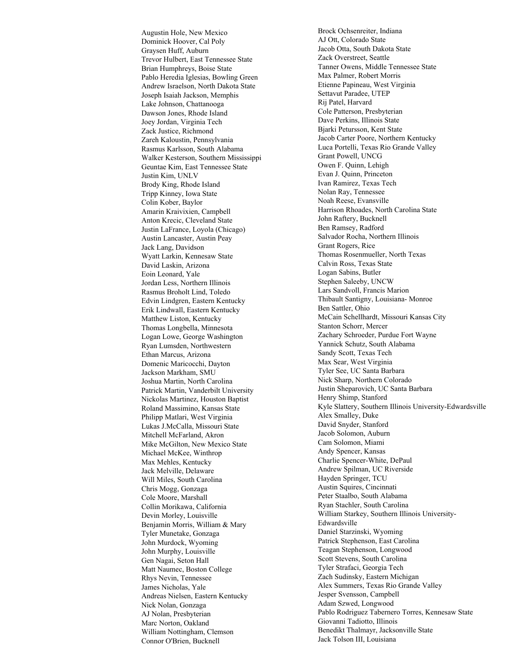Augustin Hole, New Mexico Dominick Hoover, Cal Poly Graysen Huff, Auburn Trevor Hulbert, East Tennessee State Brian Humphreys, Boise State Pablo Heredia Iglesias, Bowling Green Andrew Israelson, North Dakota State Joseph Isaiah Jackson, Memphis Lake Johnson, Chattanooga Dawson Jones, Rhode Island Joey Jordan, Virginia Tech Zack Justice, Richmond Zareh Kaloustin, Pennsylvania Rasmus Karlsson, South Alabama Walker Kesterson, Southern Mississippi Geuntae Kim, East Tennessee State Justin Kim, UNLV Brody King, Rhode Island Tripp Kinney, Iowa State Colin Kober, Baylor Amarin Kraivixien, Campbell Anton Krecic, Cleveland State Justin LaFrance, Loyola (Chicago) Austin Lancaster, Austin Peay Jack Lang, Davidson Wyatt Larkin, Kennesaw State David Laskin, Arizona Eoin Leonard, Yale Jordan Less, Northern Illinois Rasmus Broholt Lind, Toledo Edvin Lindgren, Eastern Kentucky Erik Lindwall, Eastern Kentucky Matthew Liston, Kentucky Thomas Longbella, Minnesota Logan Lowe, George Washington Ryan Lumsden, Northwestern Ethan Marcus, Arizona Domenic Maricocchi, Dayton Jackson Markham, SMU Joshua Martin, North Carolina Patrick Martin, Vanderbilt University Nickolas Martinez, Houston Baptist Roland Massimino, Kansas State Philipp Matlari, West Virginia Lukas J.McCalla, Missouri State Mitchell McFarland, Akron Mike McGilton, New Mexico State Michael McKee, Winthrop Max Mehles, Kentucky Jack Melville, Delaware Will Miles, South Carolina Chris Mogg, Gonzaga Cole Moore, Marshall Collin Morikawa, California Devin Morley, Louisville Benjamin Morris, William & Mary Tyler Munetake, Gonzaga John Murdock, Wyoming John Murphy, Louisville Gen Nagai, Seton Hall Matt Naumec, Boston College Rhys Nevin, Tennessee James Nicholas, Yale Andreas Nielsen, Eastern Kentucky Nick Nolan, Gonzaga AJ Nolan, Presbyterian Marc Norton, Oakland William Nottingham, Clemson Connor O'Brien, Bucknell

Brock Ochsenreiter, Indiana AJ Ott, Colorado State Jacob Otta, South Dakota State Zack Overstreet, Seattle Tanner Owens, Middle Tennessee State Max Palmer, Robert Morris Etienne Papineau, West Virginia Settavut Paradee, UTEP Rij Patel, Harvard Cole Patterson, Presbyterian Dave Perkins, Illinois State Bjarki Petursson, Kent State Jacob Carter Poore, Northern Kentucky Luca Portelli, Texas Rio Grande Valley Grant Powell, UNCG Owen F. Quinn, Lehigh Evan J. Quinn, Princeton Ivan Ramirez, Texas Tech Nolan Ray, Tennessee Noah Reese, Evansville Harrison Rhoades, North Carolina State John Raftery, Bucknell Ben Ramsey, Radford Salvador Rocha, Northern Illinois Grant Rogers, Rice Thomas Rosenmueller, North Texas Calvin Ross, Texas State Logan Sabins, Butler Stephen Saleeby, UNCW Lars Sandvoll, Francis Marion Thibault Santigny, Louisiana- Monroe Ben Sattler, Ohio McCain Schellhardt, Missouri Kansas City Stanton Schorr, Mercer Zachary Schroeder, Purdue Fort Wayne Yannick Schutz, South Alabama Sandy Scott, Texas Tech Max Sear, West Virginia Tyler See, UC Santa Barbara Nick Sharp, Northern Colorado Justin Sheparovich, UC Santa Barbara Henry Shimp, Stanford Kyle Slattery, Southern Illinois University-Edwardsville Alex Smalley, Duke David Snyder, Stanford Jacob Solomon, Auburn Cam Solomon, Miami Andy Spencer, Kansas Charlie Spencer-White, DePaul Andrew Spilman, UC Riverside Hayden Springer, TCU Austin Squires, Cincinnati Peter Staalbo, South Alabama Ryan Stachler, South Carolina William Starkey, Southern Illinois University-Edwardsville Daniel Starzinski, Wyoming Patrick Stephenson, East Carolina Teagan Stephenson, Longwood Scott Stevens, South Carolina Tyler Strafaci, Georgia Tech Zach Sudinsky, Eastern Michigan Alex Summers, Texas Rio Grande Valley Jesper Svensson, Campbell Adam Szwed, Longwood Pablo Rodriguez Tabernero Torres, Kennesaw State Giovanni Tadiotto, Illinois Benedikt Thalmayr, Jacksonville State Jack Tolson III, Louisiana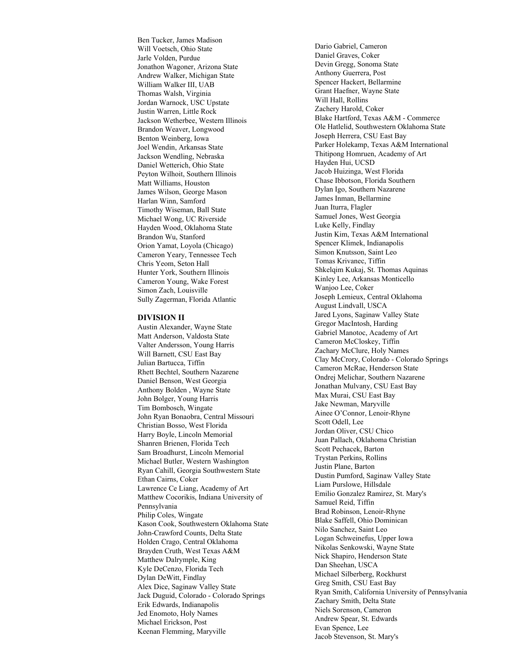Ben Tucker, James Madison Will Voetsch, Ohio State Jarle Volden, Purdue Jonathon Wagoner, Arizona State Andrew Walker, Michigan State William Walker III, UAB Thomas Walsh, Virginia Jordan Warnock, USC Upstate Justin Warren, Little Rock Jackson Wetherbee, Western Illinois Brandon Weaver, Longwood Benton Weinberg, Iowa Joel Wendin, Arkansas State Jackson Wendling, Nebraska Daniel Wetterich, Ohio State Peyton Wilhoit, Southern Illinois Matt Williams, Houston James Wilson, George Mason Harlan Winn, Samford Timothy Wiseman, Ball State Michael Wong, UC Riverside Hayden Wood, Oklahoma State Brandon Wu, Stanford Orion Yamat, Loyola (Chicago) Cameron Yeary, Tennessee Tech Chris Yeom, Seton Hall Hunter York, Southern Illinois Cameron Young, Wake Forest Simon Zach, Louisville Sully Zagerman, Florida Atlantic

#### **DIVISION II**

Austin Alexander, Wayne State Matt Anderson, Valdosta State Valter Andersson, Young Harris Will Barnett, CSU East Bay Julian Bartucca, Tiffin Rhett Bechtel, Southern Nazarene Daniel Benson, West Georgia Anthony Bolden , Wayne State John Bolger, Young Harris Tim Bombosch, Wingate John Ryan Bonaobra, Central Missouri Christian Bosso, West Florida Harry Boyle, Lincoln Memorial Shanren Brienen, Florida Tech Sam Broadhurst, Lincoln Memorial Michael Butler, Western Washington Ryan Cahill, Georgia Southwestern State Ethan Cairns, Coker Lawrence Ce Liang, Academy of Art Matthew Cocorikis, Indiana University of Pennsylvania Philip Coles, Wingate Kason Cook, Southwestern Oklahoma State John-Crawford Counts, Delta State Holden Crago, Central Oklahoma Brayden Cruth, West Texas A&M Matthew Dalrymple, King Kyle DeCenzo, Florida Tech Dylan DeWitt, Findlay Alex Dice, Saginaw Valley State Jack Duguid, Colorado - Colorado Springs Erik Edwards, Indianapolis Jed Enomoto, Holy Names Michael Erickson, Post Keenan Flemming, Maryville

Dario Gabriel, Cameron Daniel Graves, Coker Devin Gregg, Sonoma State Anthony Guerrera, Post Spencer Hackert, Bellarmine Grant Haefner, Wayne State Will Hall, Rollins Zachery Harold, Coker Blake Hartford, Texas A&M - Commerce Ole Hatlelid, Southwestern Oklahoma State Joseph Herrera, CSU East Bay Parker Holekamp, Texas A&M International Thitipong Homruen, Academy of Art Hayden Hui, UCSD Jacob Huizinga, West Florida Chase Ibbotson, Florida Southern Dylan Igo, Southern Nazarene James Inman, Bellarmine Juan Iturra, Flagler Samuel Jones, West Georgia Luke Kelly, Findlay Justin Kim, Texas A&M International Spencer Klimek, Indianapolis Simon Knutsson, Saint Leo Tomas Krivanec, Tiffin Shkelqim Kukaj, St. Thomas Aquinas Kinley Lee, Arkansas Monticello Wanjoo Lee, Coker Joseph Lemieux, Central Oklahoma August Lindvall, USCA Jared Lyons, Saginaw Valley State Gregor MacIntosh, Harding Gabriel Manotoc, Academy of Art Cameron McCloskey, Tiffin Zachary McClure, Holy Names Clay McCrory, Colorado - Colorado Springs Cameron McRae, Henderson State Ondrej Melichar, Southern Nazarene Jonathan Mulvany, CSU East Bay Max Murai, CSU East Bay Jake Newman, Maryville Ainee O'Connor, Lenoir-Rhyne Scott Odell, Lee Jordan Oliver, CSU Chico Juan Pallach, Oklahoma Christian Scott Pechacek, Barton Trystan Perkins, Rollins Justin Plane, Barton Dustin Pumford, Saginaw Valley State Liam Purslowe, Hillsdale Emilio Gonzalez Ramirez, St. Mary's Samuel Reid, Tiffin Brad Robinson, Lenoir-Rhyne Blake Saffell, Ohio Dominican Nilo Sanchez, Saint Leo Logan Schweinefus, Upper Iowa Nikolas Senkowski, Wayne State Nick Shapiro, Henderson State Dan Sheehan, USCA Michael Silberberg, Rockhurst Greg Smith, CSU East Bay Ryan Smith, California University of Pennsylvania Zachary Smith, Delta State Niels Sorenson, Cameron Andrew Spear, St. Edwards Evan Spence, Lee Jacob Stevenson, St. Mary's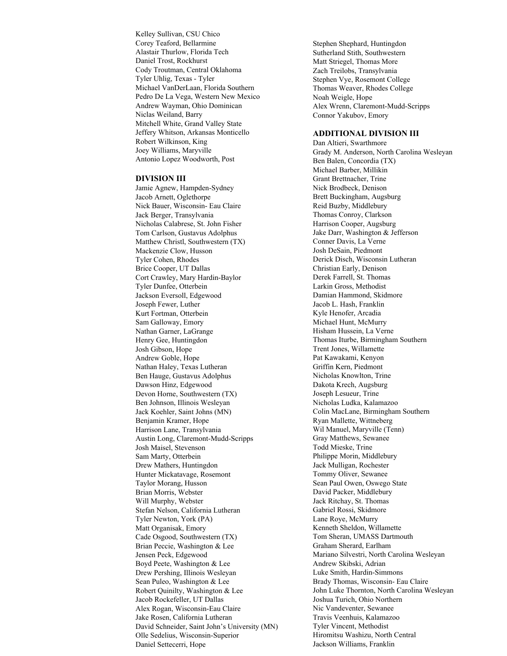Kelley Sullivan, CSU Chico Corey Teaford, Bellarmine Alastair Thurlow, Florida Tech Daniel Trost, Rockhurst Cody Troutman, Central Oklahoma Tyler Uhlig, Texas - Tyler Michael VanDerLaan, Florida Southern Pedro De La Vega, Western New Mexico Andrew Wayman, Ohio Dominican Niclas Weiland, Barry Mitchell White, Grand Valley State Jeffery Whitson, Arkansas Monticello Robert Wilkinson, King Joey Williams, Maryville Antonio Lopez Woodworth, Post

#### **DIVISION III**

Jamie Agnew, Hampden-Sydney Jacob Arnett, Oglethorpe Nick Bauer, Wisconsin- Eau Claire Jack Berger, Transylvania Nicholas Calabrese, St. John Fisher Tom Carlson, Gustavus Adolphus Matthew Christl, Southwestern (TX) Mackenzie Clow, Husson Tyler Cohen, Rhodes Brice Cooper, UT Dallas Cort Crawley, Mary Hardin-Baylor Tyler Dunfee, Otterbein Jackson Eversoll, Edgewood Joseph Fewer, Luther Kurt Fortman, Otterbein Sam Galloway, Emory Nathan Garner, LaGrange Henry Gee, Huntingdon Josh Gibson, Hope Andrew Goble, Hope Nathan Haley, Texas Lutheran Ben Hauge, Gustavus Adolphus Dawson Hinz, Edgewood Devon Horne, Southwestern (TX) Ben Johnson, Illinois Wesleyan Jack Koehler, Saint Johns (MN) Benjamin Kramer, Hope Harrison Lane, Transylvania Austin Long, Claremont-Mudd-Scripps Josh Maisel, Stevenson Sam Marty, Otterbein Drew Mathers, Huntingdon Hunter Mickatavage, Rosemont Taylor Morang, Husson Brian Morris, Webster Will Murphy, Webster Stefan Nelson, California Lutheran Tyler Newton, York (PA) Matt Organisak, Emory Cade Osgood, Southwestern (TX) Brian Peccie, Washington & Lee Jensen Peck, Edgewood Boyd Peete, Washington & Lee Drew Pershing, Illinois Wesleyan Sean Puleo, Washington & Lee Robert Quinilty, Washington & Lee Jacob Rockefeller, UT Dallas Alex Rogan, Wisconsin-Eau Claire Jake Rosen, California Lutheran David Schneider, Saint John's University (MN) Olle Sedelius, Wisconsin-Superior Daniel Settecerri, Hope

Stephen Shephard, Huntingdon Sutherland Stith, Southwestern Matt Striegel, Thomas More Zach Treilobs, Transylvania Stephen Vye, Rosemont College Thomas Weaver, Rhodes College Noah Weigle, Hope Alex Wrenn, Claremont-Mudd-Scripps Connor Yakubov, Emory

## **ADDITIONAL DIVISION III**

Dan Altieri, Swarthmore Grady M. Anderson, North Carolina Wesleyan Ben Balen, Concordia (TX) Michael Barber, Millikin Grant Brettnacher, Trine Nick Brodbeck, Denison Brett Buckingham, Augsburg Reid Buzby, Middlebury Thomas Conroy, Clarkson Harrison Cooper, Augsburg Jake Darr, Washington & Jefferson Conner Davis, La Verne Josh DeSain, Piedmont Derick Disch, Wisconsin Lutheran Christian Early, Denison Derek Farrell, St. Thomas Larkin Gross, Methodist Damian Hammond, Skidmore Jacob L. Hash, Franklin Kyle Henofer, Arcadia Michael Hunt, McMurry Hisham Hussein, La Verne Thomas Iturbe, Birmingham Southern Trent Jones, Willamette Pat Kawakami, Kenyon Griffin Kern, Piedmont Nicholas Knowlton, Trine Dakota Krech, Augsburg Joseph Lesueur, Trine Nicholas Ludka, Kalamazoo Colin MacLane, Birmingham Southern Ryan Mallette, Wittneberg Wil Manuel, Maryville (Tenn) Gray Matthews, Sewanee Todd Mieske, Trine Philippe Morin, Middlebury Jack Mulligan, Rochester Tommy Oliver, Sewanee Sean Paul Owen, Oswego State David Packer, Middlebury Jack Ritchay, St. Thomas Gabriel Rossi, Skidmore Lane Roye, McMurry Kenneth Sheldon, Willamette Tom Sheran, UMASS Dartmouth Graham Sherard, Earlham Mariano Silvestri, North Carolina Wesleyan Andrew Skibski, Adrian Luke Smith, Hardin-Simmons Brady Thomas, Wisconsin- Eau Claire John Luke Thornton, North Carolina Wesleyan Joshua Turich, Ohio Northern Nic Vandeventer, Sewanee Travis Veenhuis, Kalamazoo Tyler Vincent, Methodist Hiromitsu Washizu, North Central Jackson Williams, Franklin